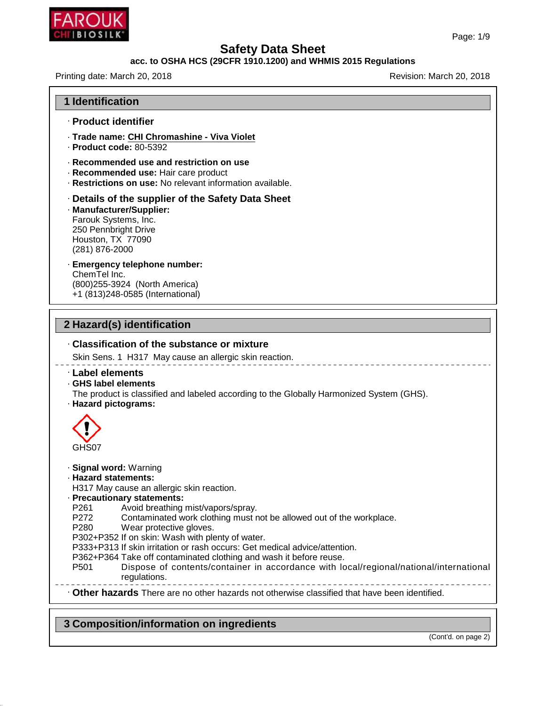

## **acc. to OSHA HCS (29CFR 1910.1200) and WHMIS 2015 Regulations**

Printing date: March 20, 2018 **Printing date: March 20, 2018** 

| · Product identifier                                           |                                                                                                                                                                                                                                                                                                                                                                                                                                                     |
|----------------------------------------------------------------|-----------------------------------------------------------------------------------------------------------------------------------------------------------------------------------------------------------------------------------------------------------------------------------------------------------------------------------------------------------------------------------------------------------------------------------------------------|
|                                                                | · Trade name: CHI Chromashine - Viva Violet<br>$\cdot$ Product code: 80-5392                                                                                                                                                                                                                                                                                                                                                                        |
|                                                                | · Recommended use and restriction on use<br>· Recommended use: Hair care product<br>· Restrictions on use: No relevant information available.                                                                                                                                                                                                                                                                                                       |
| Houston, TX 77090<br>(281) 876-2000                            | Details of the supplier of the Safety Data Sheet<br>· Manufacturer/Supplier:<br>Farouk Systems, Inc.<br>250 Pennbright Drive                                                                                                                                                                                                                                                                                                                        |
| ChemTel Inc.                                                   | · Emergency telephone number:<br>(800) 255-3924 (North America)<br>+1 (813)248-0585 (International)                                                                                                                                                                                                                                                                                                                                                 |
|                                                                | 2 Hazard(s) identification                                                                                                                                                                                                                                                                                                                                                                                                                          |
|                                                                | . Classification of the substance or mixture<br>Skin Sens. 1 H317 May cause an allergic skin reaction.                                                                                                                                                                                                                                                                                                                                              |
| · Label elements<br>GHS label elements<br>· Hazard pictograms: | The product is classified and labeled according to the Globally Harmonized System (GHS).                                                                                                                                                                                                                                                                                                                                                            |
| GHS07                                                          |                                                                                                                                                                                                                                                                                                                                                                                                                                                     |
| · Hazard statements:<br>P <sub>261</sub><br>P272<br>P280       | · Signal word: Warning<br>H317 May cause an allergic skin reaction.<br>· Precautionary statements:<br>Avoid breathing mist/vapors/spray.<br>Contaminated work clothing must not be allowed out of the workplace.<br>Wear protective gloves.<br>P302+P352 If on skin: Wash with plenty of water.<br>P333+P313 If skin irritation or rash occurs: Get medical advice/attention.<br>P362+P364 Take off contaminated clothing and wash it before reuse. |

# **3 Composition/information on ingredients**

46.1.6.1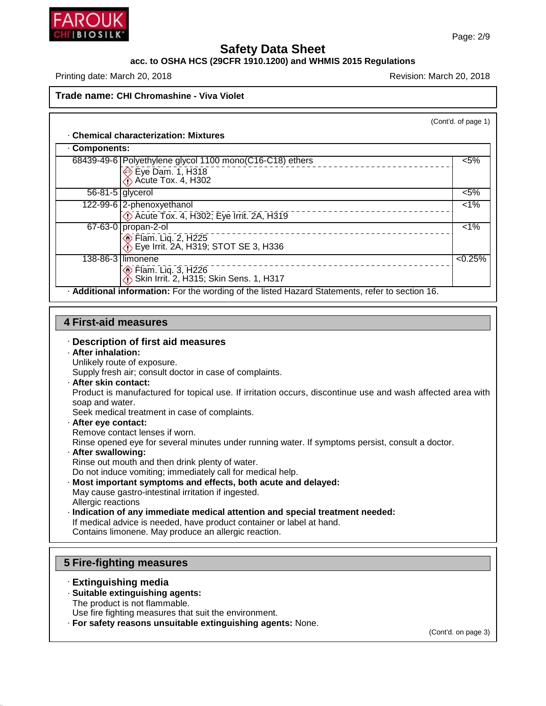

## **acc. to OSHA HCS (29CFR 1910.1200) and WHMIS 2015 Regulations**

Printing date: March 20, 2018 **Printing date: March 20, 2018** Revision: March 20, 2018

**Trade name: CHI Chromashine - Viva Violet**

(Cont'd. of page 1)

#### · **Chemical characterization: Mixtures**

| Components:        |                                                                                                 |         |
|--------------------|-------------------------------------------------------------------------------------------------|---------|
|                    | 68439-49-6 Polyethylene glycol 1100 mono(C16-C18) ethers                                        | $< 5\%$ |
|                    | Eye Dam. 1, H318<br>Acute Tox. 4, H302                                                          |         |
| $56-81-5$ glycerol |                                                                                                 | $< 5\%$ |
|                    | 122-99-6 2-phenoxyethanol<br>Acute Tox. 4, H302; Eye Irrit. 2A, H319                            | $< 1\%$ |
|                    | $67 - 63 - 0$ propan-2-ol<br>ion Flam. Liq. 2, H225<br>∴ Eye Irrit. 2A, H319; STOT SE 3, H336   | 1%      |
|                    | 138-86-3 limonene<br>ion Flam. Liq. 3, H226<br>∴ Skin Irrit. 2, H315; Skin Sens. 1, H317        | < 0.25% |
|                    | . Additional information: For the wording of the listed Hazard Statements, refer to section 16. |         |

#### **4 First-aid measures**

#### · **Description of first aid measures**

- · **After inhalation:**
- Unlikely route of exposure.

Supply fresh air; consult doctor in case of complaints.

· **After skin contact:**

Product is manufactured for topical use. If irritation occurs, discontinue use and wash affected area with soap and water.

Seek medical treatment in case of complaints.

· **After eye contact:**

Remove contact lenses if worn.

Rinse opened eye for several minutes under running water. If symptoms persist, consult a doctor.

· **After swallowing:**

Rinse out mouth and then drink plenty of water.

- Do not induce vomiting; immediately call for medical help.
- · **Most important symptoms and effects, both acute and delayed:**
- May cause gastro-intestinal irritation if ingested. Allergic reactions
- · **Indication of any immediate medical attention and special treatment needed:**
- If medical advice is needed, have product container or label at hand.

Contains limonene. May produce an allergic reaction.

#### **5 Fire-fighting measures**

· **Extinguishing media**

46.1.6.1

- · **Suitable extinguishing agents:**
- The product is not flammable.

Use fire fighting measures that suit the environment.

· **For safety reasons unsuitable extinguishing agents:** None.

(Cont'd. on page 3)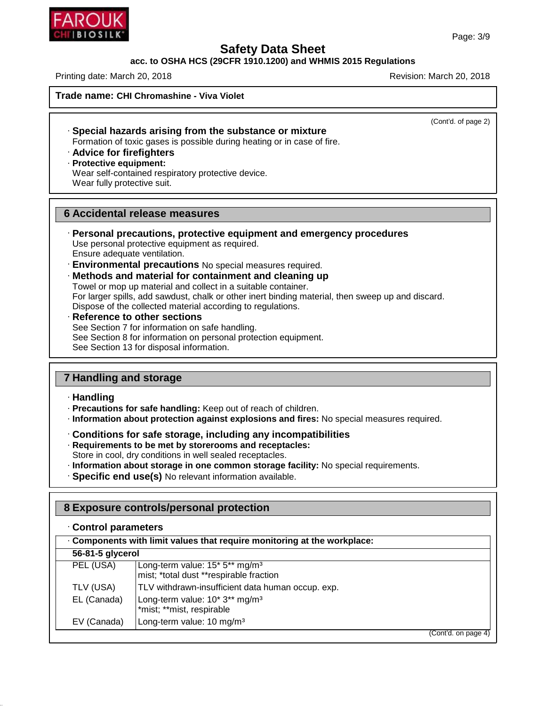## **acc. to OSHA HCS (29CFR 1910.1200) and WHMIS 2015 Regulations**

Printing date: March 20, 2018 **Printing date: March 20, 2018** Revision: March 20, 2018

**Trade name: CHI Chromashine - Viva Violet**

(Cont'd. of page 2)

- · **Special hazards arising from the substance or mixture** Formation of toxic gases is possible during heating or in case of fire.
- · **Advice for firefighters**
- · **Protective equipment:**
- Wear self-contained respiratory protective device. Wear fully protective suit.

## **6 Accidental release measures**

- · **Personal precautions, protective equipment and emergency procedures** Use personal protective equipment as required. Ensure adequate ventilation.
- · **Environmental precautions** No special measures required.
- · **Methods and material for containment and cleaning up**

Towel or mop up material and collect in a suitable container. For larger spills, add sawdust, chalk or other inert binding material, then sweep up and discard. Dispose of the collected material according to regulations.

· **Reference to other sections** See Section 7 for information on safe handling. See Section 8 for information on personal protection equipment. See Section 13 for disposal information.

# **7 Handling and storage**

#### · **Handling**

46.1.6.1

- · **Precautions for safe handling:** Keep out of reach of children.
- · **Information about protection against explosions and fires:** No special measures required.
- · **Conditions for safe storage, including any incompatibilities**
- · **Requirements to be met by storerooms and receptacles:**
- Store in cool, dry conditions in well sealed receptacles.
- · **Information about storage in one common storage facility:** No special requirements.
- · **Specific end use(s)** No relevant information available.

## **8 Exposure controls/personal protection**

| Components with limit values that require monitoring at the workplace: |                                                                                                               |  |  |  |
|------------------------------------------------------------------------|---------------------------------------------------------------------------------------------------------------|--|--|--|
| 56-81-5 glycerol                                                       |                                                                                                               |  |  |  |
| PEL (USA)                                                              | Long-term value: 15 <sup>*</sup> 5 <sup>**</sup> mg/m <sup>3</sup><br>mist; *total dust **respirable fraction |  |  |  |
| TLV (USA)                                                              | TLV withdrawn-insufficient data human occup. exp.                                                             |  |  |  |
| EL (Canada)                                                            | Long-term value: 10* 3** mg/m <sup>3</sup><br>*mist; **mist, respirable                                       |  |  |  |
| EV (Canada)                                                            | Long-term value: 10 mg/m <sup>3</sup>                                                                         |  |  |  |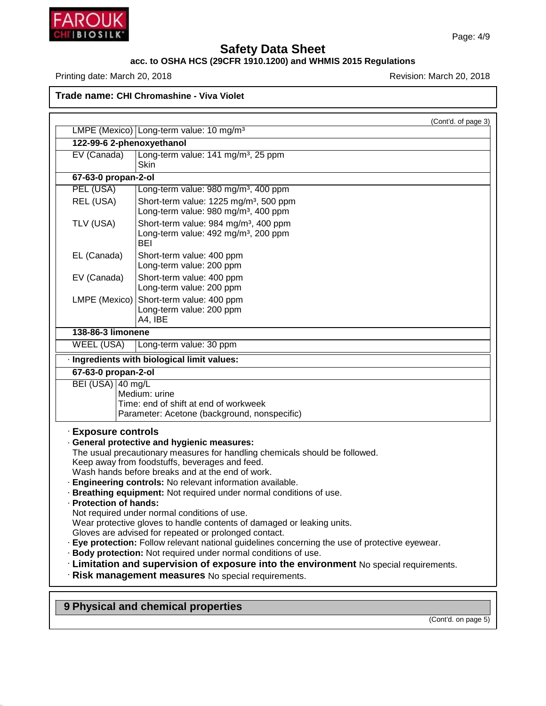

46.1.6.1

# **Safety Data Sheet**

#### **acc. to OSHA HCS (29CFR 1910.1200) and WHMIS 2015 Regulations**

Printing date: March 20, 2018 **Printing date: March 20, 2018** 

**Trade name: CHI Chromashine - Viva Violet**

|                                               | (Cont'd. of page 3)                                                                                                                                                                                                                                                                                                                                                                                                                                                                                                                                                                                                                                                                                                                                                                                                    |
|-----------------------------------------------|------------------------------------------------------------------------------------------------------------------------------------------------------------------------------------------------------------------------------------------------------------------------------------------------------------------------------------------------------------------------------------------------------------------------------------------------------------------------------------------------------------------------------------------------------------------------------------------------------------------------------------------------------------------------------------------------------------------------------------------------------------------------------------------------------------------------|
|                                               | LMPE (Mexico) Long-term value: 10 mg/m <sup>3</sup>                                                                                                                                                                                                                                                                                                                                                                                                                                                                                                                                                                                                                                                                                                                                                                    |
| 122-99-6 2-phenoxyethanol                     |                                                                                                                                                                                                                                                                                                                                                                                                                                                                                                                                                                                                                                                                                                                                                                                                                        |
| EV (Canada)                                   | Long-term value: 141 mg/m <sup>3</sup> , 25 ppm<br>Skin                                                                                                                                                                                                                                                                                                                                                                                                                                                                                                                                                                                                                                                                                                                                                                |
| 67-63-0 propan-2-ol                           |                                                                                                                                                                                                                                                                                                                                                                                                                                                                                                                                                                                                                                                                                                                                                                                                                        |
| PEL (USA)                                     | Long-term value: 980 mg/m <sup>3</sup> , 400 ppm                                                                                                                                                                                                                                                                                                                                                                                                                                                                                                                                                                                                                                                                                                                                                                       |
| REL (USA)                                     | Short-term value: 1225 mg/m <sup>3</sup> , 500 ppm<br>Long-term value: 980 mg/m <sup>3</sup> , 400 ppm                                                                                                                                                                                                                                                                                                                                                                                                                                                                                                                                                                                                                                                                                                                 |
| TLV (USA)                                     | Short-term value: 984 mg/m <sup>3</sup> , 400 ppm<br>Long-term value: 492 mg/m <sup>3</sup> , 200 ppm<br><b>BEI</b>                                                                                                                                                                                                                                                                                                                                                                                                                                                                                                                                                                                                                                                                                                    |
| EL (Canada)                                   | Short-term value: 400 ppm<br>Long-term value: 200 ppm                                                                                                                                                                                                                                                                                                                                                                                                                                                                                                                                                                                                                                                                                                                                                                  |
| EV (Canada)                                   | Short-term value: 400 ppm<br>Long-term value: 200 ppm                                                                                                                                                                                                                                                                                                                                                                                                                                                                                                                                                                                                                                                                                                                                                                  |
| LMPE (Mexico)                                 | Short-term value: 400 ppm<br>Long-term value: 200 ppm<br>A4, IBE                                                                                                                                                                                                                                                                                                                                                                                                                                                                                                                                                                                                                                                                                                                                                       |
| 138-86-3 limonene                             |                                                                                                                                                                                                                                                                                                                                                                                                                                                                                                                                                                                                                                                                                                                                                                                                                        |
| <b>WEEL (USA)</b>                             | Long-term value: 30 ppm                                                                                                                                                                                                                                                                                                                                                                                                                                                                                                                                                                                                                                                                                                                                                                                                |
|                                               | · Ingredients with biological limit values:                                                                                                                                                                                                                                                                                                                                                                                                                                                                                                                                                                                                                                                                                                                                                                            |
| 67-63-0 propan-2-ol                           |                                                                                                                                                                                                                                                                                                                                                                                                                                                                                                                                                                                                                                                                                                                                                                                                                        |
| BEI (USA) 40 mg/L                             | Medium: urine<br>Time: end of shift at end of workweek<br>Parameter: Acetone (background, nonspecific)                                                                                                                                                                                                                                                                                                                                                                                                                                                                                                                                                                                                                                                                                                                 |
| · Exposure controls<br>· Protection of hands: | · General protective and hygienic measures:<br>The usual precautionary measures for handling chemicals should be followed.<br>Keep away from foodstuffs, beverages and feed.<br>Wash hands before breaks and at the end of work.<br>· Engineering controls: No relevant information available.<br>· Breathing equipment: Not required under normal conditions of use.<br>Not required under normal conditions of use.<br>Wear protective gloves to handle contents of damaged or leaking units.<br>Gloves are advised for repeated or prolonged contact.<br>Eye protection: Follow relevant national guidelines concerning the use of protective eyewear.<br>· Body protection: Not required under normal conditions of use.<br>· Limitation and supervision of exposure into the environment No special requirements. |
|                                               |                                                                                                                                                                                                                                                                                                                                                                                                                                                                                                                                                                                                                                                                                                                                                                                                                        |
|                                               | · Risk management measures No special requirements.                                                                                                                                                                                                                                                                                                                                                                                                                                                                                                                                                                                                                                                                                                                                                                    |

(Cont'd. on page 5)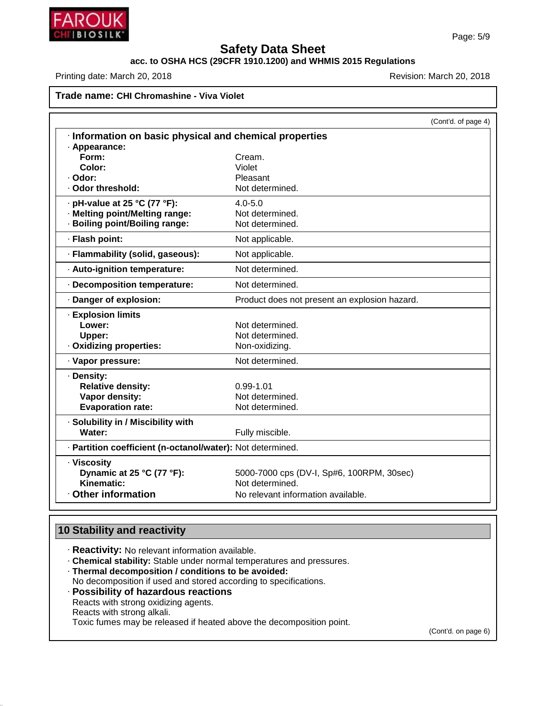

# **acc. to OSHA HCS (29CFR 1910.1200) and WHMIS 2015 Regulations**

Printing date: March 20, 2018 **Printing date: March 20, 2018** Revision: March 20, 2018

# **Trade name: CHI Chromashine - Viva Violet**

|                                                            |                                               | (Cont'd. of page 4) |
|------------------------------------------------------------|-----------------------------------------------|---------------------|
| Information on basic physical and chemical properties      |                                               |                     |
| · Appearance:                                              |                                               |                     |
| Form:                                                      | Cream.                                        |                     |
| Color:                                                     | Violet                                        |                     |
| · Odor:<br>· Odor threshold:                               | Pleasant<br>Not determined.                   |                     |
|                                                            |                                               |                     |
| · pH-value at 25 °C (77 °F):                               | $4.0 - 5.0$                                   |                     |
| · Melting point/Melting range:                             | Not determined.                               |                     |
| · Boiling point/Boiling range:                             | Not determined.                               |                     |
| · Flash point:                                             | Not applicable.                               |                     |
| · Flammability (solid, gaseous):                           | Not applicable.                               |                     |
| · Auto-ignition temperature:                               | Not determined.                               |                     |
| Decomposition temperature:                                 | Not determined.                               |                     |
| · Danger of explosion:                                     | Product does not present an explosion hazard. |                     |
| · Explosion limits                                         |                                               |                     |
| Lower:                                                     | Not determined.                               |                     |
| Upper:                                                     | Not determined.                               |                     |
| · Oxidizing properties:                                    | Non-oxidizing.                                |                     |
| · Vapor pressure:                                          | Not determined.                               |                     |
| · Density:                                                 |                                               |                     |
| <b>Relative density:</b>                                   | $0.99 - 1.01$                                 |                     |
| Vapor density:                                             | Not determined.                               |                     |
| <b>Evaporation rate:</b>                                   | Not determined.                               |                     |
| · Solubility in / Miscibility with                         |                                               |                     |
| Water:                                                     | Fully miscible.                               |                     |
| · Partition coefficient (n-octanol/water): Not determined. |                                               |                     |
| · Viscosity                                                |                                               |                     |
| Dynamic at 25 °C (77 °F):                                  | 5000-7000 cps (DV-I, Sp#6, 100RPM, 30sec)     |                     |
| Kinematic:                                                 | Not determined.                               |                     |
| <b>Other information</b>                                   | No relevant information available.            |                     |

# **10 Stability and reactivity**

46.1.6.1

- · **Reactivity:** No relevant information available.
- · **Chemical stability:** Stable under normal temperatures and pressures.
- · **Thermal decomposition / conditions to be avoided:** No decomposition if used and stored according to specifications.
- · **Possibility of hazardous reactions** Reacts with strong oxidizing agents. Reacts with strong alkali. Toxic fumes may be released if heated above the decomposition point.

(Cont'd. on page 6)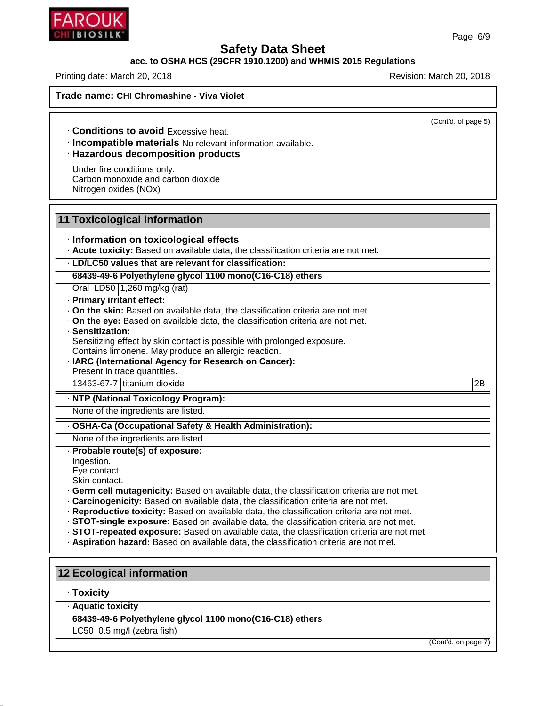## **acc. to OSHA HCS (29CFR 1910.1200) and WHMIS 2015 Regulations**

Printing date: March 20, 2018 **Printing date: March 20, 2018** Revision: March 20, 2018

**Trade name: CHI Chromashine - Viva Violet**

(Cont'd. of page 5)

· **Conditions to avoid** Excessive heat.

· **Incompatible materials** No relevant information available.

## · **Hazardous decomposition products**

Under fire conditions only: Carbon monoxide and carbon dioxide Nitrogen oxides (NOx)

#### **11 Toxicological information**

#### · **Information on toxicological effects**

· **Acute toxicity:** Based on available data, the classification criteria are not met.

#### · **LD/LC50 values that are relevant for classification:**

**68439-49-6 Polyethylene glycol 1100 mono(C16-C18) ethers**

Oral LD50 1,260 mg/kg (rat)

#### · **Primary irritant effect:**

- · **On the skin:** Based on available data, the classification criteria are not met.
- · **On the eye:** Based on available data, the classification criteria are not met.

#### · **Sensitization:**

Sensitizing effect by skin contact is possible with prolonged exposure.

- Contains limonene. May produce an allergic reaction.
- · **IARC (International Agency for Research on Cancer):**

Present in trace quantities.

13463-67-7 titanium dioxide 2B

#### · **NTP (National Toxicology Program):**

None of the ingredients are listed.

## · **OSHA-Ca (Occupational Safety & Health Administration):**

None of the ingredients are listed. · **Probable route(s) of exposure:**

Ingestion.

Eye contact.

Skin contact.

- · **Germ cell mutagenicity:** Based on available data, the classification criteria are not met.
- · **Carcinogenicity:** Based on available data, the classification criteria are not met.
- · **Reproductive toxicity:** Based on available data, the classification criteria are not met.
- · **STOT-single exposure:** Based on available data, the classification criteria are not met.
- · **STOT-repeated exposure:** Based on available data, the classification criteria are not met.
- · **Aspiration hazard:** Based on available data, the classification criteria are not met.

#### **12 Ecological information**

#### · **Toxicity**

46.1.6.1

· **Aquatic toxicity**

**68439-49-6 Polyethylene glycol 1100 mono(C16-C18) ethers**

 $LC50$  | 0.5 mg/l (zebra fish)

(Cont'd. on page 7)

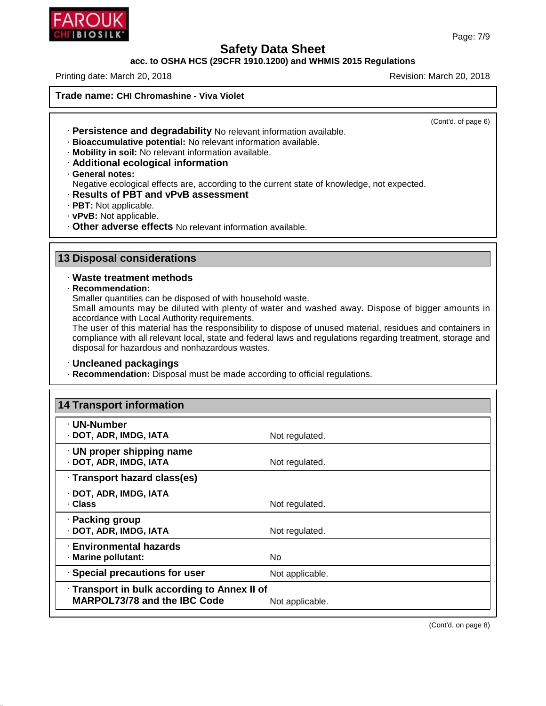

#### **acc. to OSHA HCS (29CFR 1910.1200) and WHMIS 2015 Regulations**

Printing date: March 20, 2018 **Printing date: March 20, 2018** Revision: March 20, 2018

**Trade name: CHI Chromashine - Viva Violet**

(Cont'd. of page 6)

- · **Persistence and degradability** No relevant information available.
- · **Bioaccumulative potential:** No relevant information available.
- · **Mobility in soil:** No relevant information available.
- · **Additional ecological information**
- · **General notes:**

Negative ecological effects are, according to the current state of knowledge, not expected.

- · **Results of PBT and vPvB assessment**
- · **PBT:** Not applicable.
- · **vPvB:** Not applicable.
- · **Other adverse effects** No relevant information available.

#### **13 Disposal considerations**

#### · **Waste treatment methods**

· **Recommendation:**

46.1.6.1

Smaller quantities can be disposed of with household waste.

Small amounts may be diluted with plenty of water and washed away. Dispose of bigger amounts in accordance with Local Authority requirements.

The user of this material has the responsibility to dispose of unused material, residues and containers in compliance with all relevant local, state and federal laws and regulations regarding treatment, storage and disposal for hazardous and nonhazardous wastes.

#### · **Uncleaned packagings**

· **Recommendation:** Disposal must be made according to official regulations.

| <b>14 Transport information</b>                                                     |                 |
|-------------------------------------------------------------------------------------|-----------------|
| · UN-Number<br>· DOT, ADR, IMDG, IATA                                               | Not regulated.  |
| $\cdot$ UN proper shipping name<br>· DOT, ADR, IMDG, IATA                           | Not regulated.  |
| · Transport hazard class(es)                                                        |                 |
| · DOT, ADR, IMDG, IATA<br>. Class                                                   | Not regulated.  |
| · Packing group<br>· DOT, ADR, IMDG, IATA                                           | Not regulated.  |
| · Environmental hazards<br>· Marine pollutant:                                      | <b>No</b>       |
| · Special precautions for user                                                      | Not applicable. |
| · Transport in bulk according to Annex II of<br><b>MARPOL73/78 and the IBC Code</b> | Not applicable. |

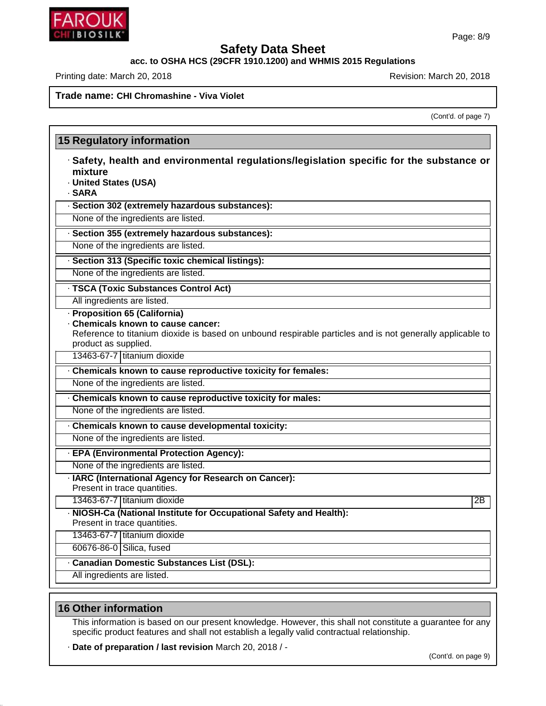# **acc. to OSHA HCS (29CFR 1910.1200) and WHMIS 2015 Regulations**

Printing date: March 20, 2018 **Printing date: March 20, 2018** Revision: March 20, 2018

**15 Regulatory information**

**Trade name: CHI Chromashine - Viva Violet**

(Cont'd. of page 7)

| · Safety, health and environmental regulations/legislation specific for the substance or                                          |    |
|-----------------------------------------------------------------------------------------------------------------------------------|----|
| mixture                                                                                                                           |    |
| · United States (USA)                                                                                                             |    |
| · SARA                                                                                                                            |    |
| · Section 302 (extremely hazardous substances):                                                                                   |    |
| None of the ingredients are listed.                                                                                               |    |
| · Section 355 (extremely hazardous substances):                                                                                   |    |
| None of the ingredients are listed.                                                                                               |    |
| · Section 313 (Specific toxic chemical listings):                                                                                 |    |
| None of the ingredients are listed.                                                                                               |    |
| · TSCA (Toxic Substances Control Act)                                                                                             |    |
| All ingredients are listed.                                                                                                       |    |
| · Proposition 65 (California)                                                                                                     |    |
| Chemicals known to cause cancer:                                                                                                  |    |
| Reference to titanium dioxide is based on unbound respirable particles and is not generally applicable to<br>product as supplied. |    |
| 13463-67-7 titanium dioxide                                                                                                       |    |
|                                                                                                                                   |    |
| . Chemicals known to cause reproductive toxicity for females:                                                                     |    |
| None of the ingredients are listed.                                                                                               |    |
| Chemicals known to cause reproductive toxicity for males:                                                                         |    |
| None of the ingredients are listed.                                                                                               |    |
| Chemicals known to cause developmental toxicity:                                                                                  |    |
| None of the ingredients are listed.                                                                                               |    |
| · EPA (Environmental Protection Agency):                                                                                          |    |
| None of the ingredients are listed.                                                                                               |    |
| · IARC (International Agency for Research on Cancer):                                                                             |    |
| Present in trace quantities.                                                                                                      |    |
| 13463-67-7 titanium dioxide                                                                                                       | 2B |
| - NIOSH-Ca (National Institute for Occupational Safety and Health):                                                               |    |
| Present in trace quantities.                                                                                                      |    |
| 13463-67-7 titanium dioxide                                                                                                       |    |
| 60676-86-0 Silica, fused                                                                                                          |    |
| <b>Canadian Domestic Substances List (DSL):</b>                                                                                   |    |
| All ingredients are listed.                                                                                                       |    |

## **16 Other information**

46.1.6.1

This information is based on our present knowledge. However, this shall not constitute a guarantee for any specific product features and shall not establish a legally valid contractual relationship.

· **Date of preparation / last revision** March 20, 2018 / -